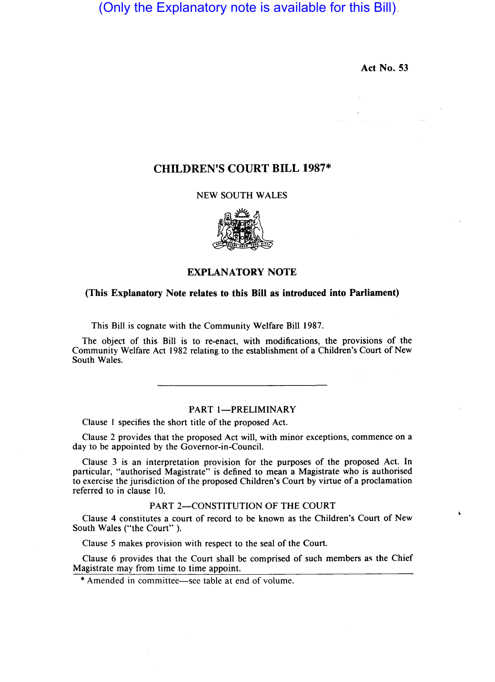(Only the Explanatory note is available for this Bill)

Act No. 53

 $\mathbf{r}$ 

# CHILDREN'S COURT BILL 1987\*

## NEW SOUTH WALES



## EXPLANATORY NOTE

#### (This Explanatory Note relates to this Bill as introduced into Parliament)

This Bill is cognate with the Community Welfare Bill 1987.

The object of this Bill is to re-enact, with modifications, the provisions of the Community Welfare Act 1982 relating to the establishment of a Children's Court of New South Wales.

## PART 1-PRELIMINARY

Clause I specifies the short title of the proposed Act.

Clause 2 provides that the proposed Act will, with minor exceptions, commence on a day to be appointed by the Governor-in-Council.

Clause 3 is an interpretation provision for the purposes of the proposed Act. In particular, "authorised Magistrate" is defined to mean a Magistrate who is authorised to exercise the jurisdiction of the proposed Children's Court by virtue of a proclamation referred to in clause 10.

### PART 2-CONSTITUTION OF THE COURT

Clause 4 constitutes a court of record to be known as the Children's Court of New South Wales ("the Court" ).

Clause 5 makes provision with respect to the seal of the Court.

Clause 6 provides that the Court shall be comprised of such members as the Chief Magistrate may from time to time appoint.

\* Amended in committee-see table at end of volume.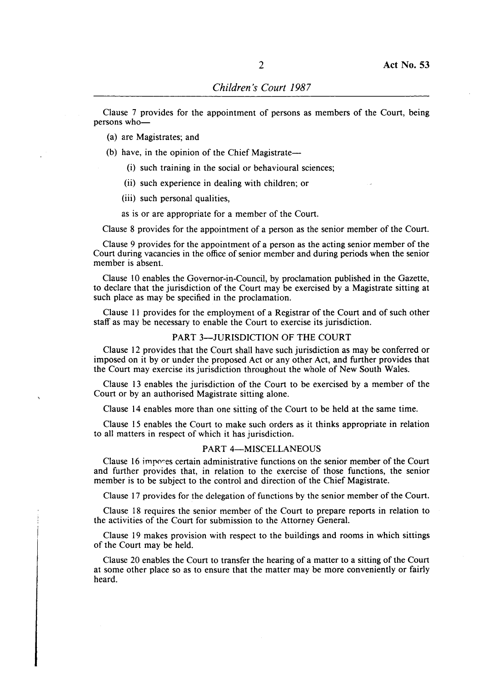Clause 7 provides for the appointment of persons as members of the Court, being persons who-

- (a) are Magistrates; and
- (b) have, in the opinion of the Chief Magistrate $-$ 
	- (i) such training in the social or behavioural sciences;
	- (ii) such experience in dealing with children; or
	- (iii) such personal qualities,

as is or are appropriate for a member of the Court.

Clause 8 provides for the appointment of a person as the senior member of the Court.

Clause 9 provides for the appointment of a person as the acting senior member of the Court during vacancies in the office of senior member and during periods when the senior member is absent.

Clause 10 enables the Governor-in-Council, by proclamation published in the Gazette, to declare that the jurisdiction of the Court may be exercised by a Magistrate sitting at such place as may be specified in the proclamation.

Clause II provides for the employment of a Registrar of the Court and of such other staff as may be necessary to enable the Court to exercise its jurisdiction.

#### PART 3-JURISDICTION OF THE COURT

Clause 12 provides that the Court shall have such jurisdiction as may be conferred or imposed on it by or under the proposed Act or any other Act, and further provides that the Court may exercise its jurisdiction throughout the whole of New South Wales.

Clause 13 enables the jurisdiction of the Court to be exercised by a member of the Court or by an authorised Magistrate sitting alone.

Clause 14 enables more than one sitting of the Court to be held at the same time.

Clause 15 enables the Court to make such orders as it thinks appropriate in relation to all matters in respect of which it has jurisdiction.

#### PART 4-MISCELLANEOUS

Clause 16 impores certain administrative functions on the senior member of the Court and further provides that, in relation to the exercise of those functions, the senior member is to be subject to the control and direction of the Chief Magistrate.

Clause 17 provides for the delegation of functions by the senior member of the Court.

Clause 18 requires the senior member of the Court to prepare reports in relation to the activities of the Court for submission to the Attorney General.

Clause 19 makes provision with respect to the buildings and rooms in which sittings of the Court may be held.

Clause 20 enables the Court to transfer the hearing of a matter to a sitting of the Court at some other place so as to ensure that the matter may be more conveniently or fairly heard.